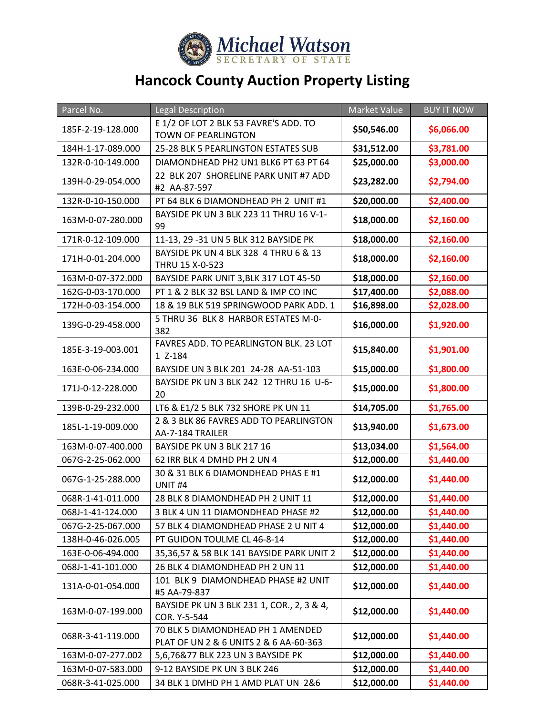

## **Hancock County Auction Property Listing**

| Parcel No.        | <b>Legal Description</b>                                                      | <b>Market Value</b> | <b>BUY IT NOW</b> |
|-------------------|-------------------------------------------------------------------------------|---------------------|-------------------|
| 185F-2-19-128.000 | E 1/2 OF LOT 2 BLK 53 FAVRE'S ADD. TO                                         | \$50,546.00         | \$6,066.00        |
|                   | <b>TOWN OF PEARLINGTON</b>                                                    |                     |                   |
| 184H-1-17-089.000 | 25-28 BLK 5 PEARLINGTON ESTATES SUB                                           | \$31,512.00         | \$3,781.00        |
| 132R-0-10-149.000 | DIAMONDHEAD PH2 UN1 BLK6 PT 63 PT 64<br>22 BLK 207 SHORELINE PARK UNIT #7 ADD | \$25,000.00         | \$3,000.00        |
| 139H-0-29-054.000 | #2 AA-87-597                                                                  | \$23,282.00         | \$2,794.00        |
| 132R-0-10-150.000 | PT 64 BLK 6 DIAMONDHEAD PH 2 UNIT #1                                          | \$20,000.00         | \$2,400.00        |
| 163M-0-07-280.000 | BAYSIDE PK UN 3 BLK 223 11 THRU 16 V-1-<br>99                                 | \$18,000.00         | \$2,160.00        |
| 171R-0-12-109.000 | 11-13, 29 -31 UN 5 BLK 312 BAYSIDE PK                                         | \$18,000.00         | \$2,160.00        |
| 171H-0-01-204.000 | BAYSIDE PK UN 4 BLK 328 4 THRU 6 & 13<br>THRU 15 X-0-523                      | \$18,000.00         | \$2,160.00        |
| 163M-0-07-372.000 | BAYSIDE PARK UNIT 3, BLK 317 LOT 45-50                                        | \$18,000.00         | \$2,160.00        |
| 162G-0-03-170.000 | PT 1 & 2 BLK 32 BSL LAND & IMP CO INC                                         | \$17,400.00         | \$2,088.00        |
| 172H-0-03-154.000 | 18 & 19 BLK 519 SPRINGWOOD PARK ADD. 1                                        | \$16,898.00         | \$2,028.00        |
| 139G-0-29-458.000 | 5 THRU 36 BLK 8 HARBOR ESTATES M-0-<br>382                                    | \$16,000.00         | \$1,920.00        |
| 185E-3-19-003.001 | FAVRES ADD. TO PEARLINGTON BLK. 23 LOT<br>1 Z-184                             | \$15,840.00         | \$1,901.00        |
| 163E-0-06-234.000 | BAYSIDE UN 3 BLK 201 24-28 AA-51-103                                          | \$15,000.00         | \$1,800.00        |
| 171J-0-12-228.000 | BAYSIDE PK UN 3 BLK 242 12 THRU 16 U-6-<br>20                                 | \$15,000.00         | \$1,800.00        |
| 139B-0-29-232.000 | LT6 & E1/2 5 BLK 732 SHORE PK UN 11                                           | \$14,705.00         | \$1,765.00        |
| 185L-1-19-009.000 | 2 & 3 BLK 86 FAVRES ADD TO PEARLINGTON<br>AA-7-184 TRAILER                    | \$13,940.00         | \$1,673.00        |
| 163M-0-07-400.000 | BAYSIDE PK UN 3 BLK 217 16                                                    | \$13,034.00         | \$1,564.00        |
| 067G-2-25-062.000 | 62 IRR BLK 4 DMHD PH 2 UN 4                                                   | \$12,000.00         | \$1,440.00        |
| 067G-1-25-288.000 | 30 & 31 BLK 6 DIAMONDHEAD PHAS E #1<br>UNIT <sub>#4</sub>                     | \$12,000.00         | \$1,440.00        |
| 068R-1-41-011.000 | 28 BLK 8 DIAMONDHEAD PH 2 UNIT 11                                             | \$12,000.00         | \$1,440.00        |
| 068J-1-41-124.000 | 3 BLK 4 UN 11 DIAMONDHEAD PHASE #2                                            | \$12,000.00         | \$1,440.00        |
| 067G-2-25-067.000 | 57 BLK 4 DIAMONDHEAD PHASE 2 U NIT 4                                          | \$12,000.00         | \$1,440.00        |
| 138H-0-46-026.005 | PT GUIDON TOULME CL 46-8-14                                                   | \$12,000.00         | \$1,440.00        |
| 163E-0-06-494.000 | 35,36,57 & 58 BLK 141 BAYSIDE PARK UNIT 2                                     | \$12,000.00         | \$1,440.00        |
| 068J-1-41-101.000 | 26 BLK 4 DIAMONDHEAD PH 2 UN 11                                               | \$12,000.00         | \$1,440.00        |
| 131A-0-01-054.000 | 101 BLK 9 DIAMONDHEAD PHASE #2 UNIT<br>#5 AA-79-837                           | \$12,000.00         | \$1,440.00        |
| 163M-0-07-199.000 | BAYSIDE PK UN 3 BLK 231 1, COR., 2, 3 & 4,<br>COR. Y-5-544                    | \$12,000.00         | \$1,440.00        |
| 068R-3-41-119.000 | 70 BLK 5 DIAMONDHEAD PH 1 AMENDED<br>PLAT OF UN 2 & 6 UNITS 2 & 6 AA-60-363   | \$12,000.00         | \$1,440.00        |
| 163M-0-07-277.002 | 5,6,76&77 BLK 223 UN 3 BAYSIDE PK                                             | \$12,000.00         | \$1,440.00        |
| 163M-0-07-583.000 | 9-12 BAYSIDE PK UN 3 BLK 246                                                  | \$12,000.00         | \$1,440.00        |
| 068R-3-41-025.000 | 34 BLK 1 DMHD PH 1 AMD PLAT UN 2&6                                            | \$12,000.00         | \$1,440.00        |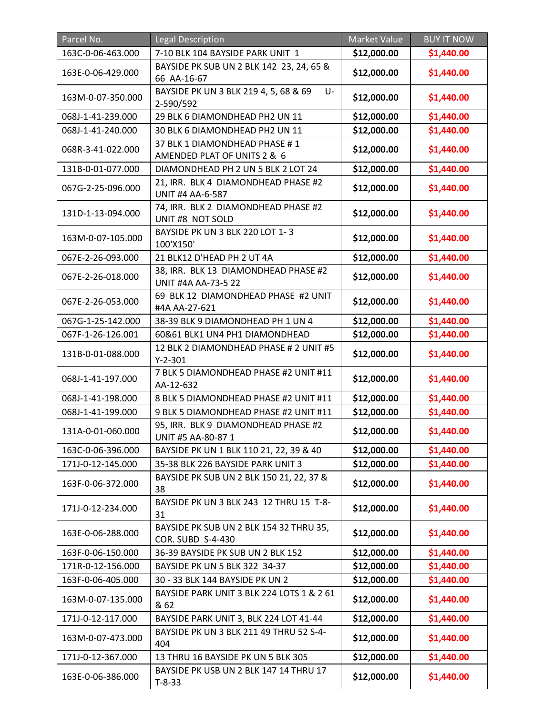| Parcel No.        | <b>Legal Description</b>                                            | <b>Market Value</b> | <b>BUY IT NOW</b> |
|-------------------|---------------------------------------------------------------------|---------------------|-------------------|
| 163C-0-06-463.000 | 7-10 BLK 104 BAYSIDE PARK UNIT 1                                    | \$12,000.00         | \$1,440.00        |
| 163E-0-06-429.000 | BAYSIDE PK SUB UN 2 BLK 142 23, 24, 65 &<br>66 AA-16-67             | \$12,000.00         | \$1,440.00        |
| 163M-0-07-350.000 | BAYSIDE PK UN 3 BLK 219 4, 5, 68 & 69<br>U-<br>2-590/592            | \$12,000.00         | \$1,440.00        |
| 068J-1-41-239.000 | 29 BLK 6 DIAMONDHEAD PH2 UN 11                                      | \$12,000.00         | \$1,440.00        |
| 068J-1-41-240.000 | 30 BLK 6 DIAMONDHEAD PH2 UN 11                                      | \$12,000.00         | \$1,440.00        |
| 068R-3-41-022.000 | 37 BLK 1 DIAMONDHEAD PHASE #1<br>AMENDED PLAT OF UNITS 2 & 6        | \$12,000.00         | \$1,440.00        |
| 131B-0-01-077.000 | DIAMONDHEAD PH 2 UN 5 BLK 2 LOT 24                                  | \$12,000.00         | \$1,440.00        |
| 067G-2-25-096.000 | 21, IRR. BLK 4 DIAMONDHEAD PHASE #2<br><b>UNIT #4 AA-6-587</b>      | \$12,000.00         | \$1,440.00        |
| 131D-1-13-094.000 | 74, IRR. BLK 2 DIAMONDHEAD PHASE #2<br>UNIT #8 NOT SOLD             | \$12,000.00         | \$1,440.00        |
| 163M-0-07-105.000 | BAYSIDE PK UN 3 BLK 220 LOT 1-3<br>100'X150'                        | \$12,000.00         | \$1,440.00        |
| 067E-2-26-093.000 | 21 BLK12 D'HEAD PH 2 UT 4A                                          | \$12,000.00         | \$1,440.00        |
| 067E-2-26-018.000 | 38, IRR. BLK 13 DIAMONDHEAD PHASE #2<br><b>UNIT #4A AA-73-5 22</b>  | \$12,000.00         | \$1,440.00        |
| 067E-2-26-053.000 | 69 BLK 12 DIAMONDHEAD PHASE #2 UNIT<br>#4A AA-27-621                | \$12,000.00         | \$1,440.00        |
| 067G-1-25-142.000 | 38-39 BLK 9 DIAMONDHEAD PH 1 UN 4                                   | \$12,000.00         | \$1,440.00        |
| 067F-1-26-126.001 | 60&61 BLK1 UN4 PH1 DIAMONDHEAD                                      | \$12,000.00         | \$1,440.00        |
| 131B-0-01-088.000 | 12 BLK 2 DIAMONDHEAD PHASE # 2 UNIT #5<br>$Y-2-301$                 | \$12,000.00         | \$1,440.00        |
| 068J-1-41-197.000 | 7 BLK 5 DIAMONDHEAD PHASE #2 UNIT #11<br>AA-12-632                  | \$12,000.00         | \$1,440.00        |
| 068J-1-41-198.000 | 8 BLK 5 DIAMONDHEAD PHASE #2 UNIT #11                               | \$12,000.00         | \$1,440.00        |
| 068J-1-41-199.000 | 9 BLK 5 DIAMONDHEAD PHASE #2 UNIT #11                               | \$12,000.00         | \$1,440.00        |
| 131A-0-01-060.000 | 95, IRR. BLK 9 DIAMONDHEAD PHASE #2<br>UNIT #5 AA-80-87 1           | \$12,000.00         | \$1,440.00        |
| 163C-0-06-396.000 | BAYSIDE PK UN 1 BLK 110 21, 22, 39 & 40                             | \$12,000.00         | \$1,440.00        |
| 171J-0-12-145.000 | 35-38 BLK 226 BAYSIDE PARK UNIT 3                                   | \$12,000.00         | \$1,440.00        |
| 163F-0-06-372.000 | BAYSIDE PK SUB UN 2 BLK 150 21, 22, 37 &<br>38                      | \$12,000.00         | \$1,440.00        |
| 171J-0-12-234.000 | BAYSIDE PK UN 3 BLK 243 12 THRU 15 T-8-<br>31                       | \$12,000.00         | \$1,440.00        |
| 163E-0-06-288.000 | BAYSIDE PK SUB UN 2 BLK 154 32 THRU 35,<br><b>COR. SUBD S-4-430</b> | \$12,000.00         | \$1,440.00        |
| 163F-0-06-150.000 | 36-39 BAYSIDE PK SUB UN 2 BLK 152                                   | \$12,000.00         | \$1,440.00        |
| 171R-0-12-156.000 | BAYSIDE PK UN 5 BLK 322 34-37                                       | \$12,000.00         | \$1,440.00        |
| 163F-0-06-405.000 | 30 - 33 BLK 144 BAYSIDE PK UN 2                                     | \$12,000.00         | \$1,440.00        |
| 163M-0-07-135.000 | BAYSIDE PARK UNIT 3 BLK 224 LOTS 1 & 2 61<br>& 62                   | \$12,000.00         | \$1,440.00        |
| 171J-0-12-117.000 | BAYSIDE PARK UNIT 3, BLK 224 LOT 41-44                              | \$12,000.00         | \$1,440.00        |
| 163M-0-07-473.000 | BAYSIDE PK UN 3 BLK 211 49 THRU 52 S-4-<br>404                      | \$12,000.00         | \$1,440.00        |
| 171J-0-12-367.000 | 13 THRU 16 BAYSIDE PK UN 5 BLK 305                                  | \$12,000.00         | \$1,440.00        |
| 163E-0-06-386.000 | BAYSIDE PK USB UN 2 BLK 147 14 THRU 17<br>$T-8-33$                  | \$12,000.00         | \$1,440.00        |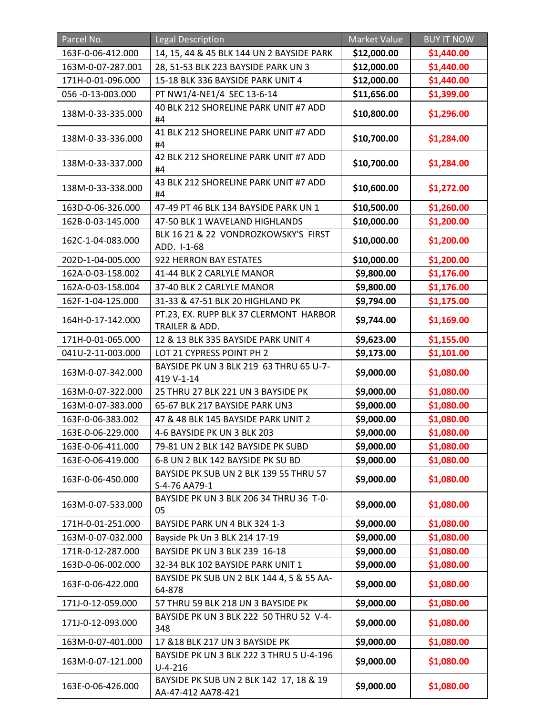| Parcel No.        | <b>Legal Description</b>                                      | Market Value | <b>BUY IT NOW</b> |
|-------------------|---------------------------------------------------------------|--------------|-------------------|
| 163F-0-06-412.000 | 14, 15, 44 & 45 BLK 144 UN 2 BAYSIDE PARK                     | \$12,000.00  | \$1,440.00        |
| 163M-0-07-287.001 | 28, 51-53 BLK 223 BAYSIDE PARK UN 3                           | \$12,000.00  | \$1,440.00        |
| 171H-0-01-096.000 | 15-18 BLK 336 BAYSIDE PARK UNIT 4                             | \$12,000.00  | \$1,440.00        |
| 056 -0-13-003.000 | PT NW1/4-NE1/4 SEC 13-6-14                                    | \$11,656.00  | \$1,399.00        |
| 138M-0-33-335.000 | 40 BLK 212 SHORELINE PARK UNIT #7 ADD<br>#4                   | \$10,800.00  | \$1,296.00        |
| 138M-0-33-336.000 | 41 BLK 212 SHORELINE PARK UNIT #7 ADD<br>#4                   | \$10,700.00  | \$1,284.00        |
| 138M-0-33-337.000 | 42 BLK 212 SHORELINE PARK UNIT #7 ADD<br>#4                   | \$10,700.00  | \$1,284.00        |
| 138M-0-33-338.000 | 43 BLK 212 SHORELINE PARK UNIT #7 ADD<br>#4                   | \$10,600.00  | \$1,272.00        |
| 163D-0-06-326.000 | 47-49 PT 46 BLK 134 BAYSIDE PARK UN 1                         | \$10,500.00  | \$1,260.00        |
| 162B-0-03-145.000 | 47-50 BLK 1 WAVELAND HIGHLANDS                                | \$10,000.00  | \$1,200.00        |
| 162C-1-04-083.000 | BLK 16 21 & 22 VONDROZKOWSKY'S FIRST<br>ADD. I-1-68           | \$10,000.00  | \$1,200.00        |
| 202D-1-04-005.000 | 922 HERRON BAY ESTATES                                        | \$10,000.00  | \$1,200.00        |
| 162A-0-03-158.002 | 41-44 BLK 2 CARLYLE MANOR                                     | \$9,800.00   | \$1,176.00        |
| 162A-0-03-158.004 | 37-40 BLK 2 CARLYLE MANOR                                     | \$9,800.00   | \$1,176.00        |
| 162F-1-04-125.000 | 31-33 & 47-51 BLK 20 HIGHLAND PK                              | \$9,794.00   | \$1,175.00        |
| 164H-0-17-142.000 | PT.23, EX. RUPP BLK 37 CLERMONT HARBOR<br>TRAILER & ADD.      | \$9,744.00   | \$1,169.00        |
| 171H-0-01-065.000 | 12 & 13 BLK 335 BAYSIDE PARK UNIT 4                           | \$9,623.00   | \$1,155.00        |
| 041U-2-11-003.000 | LOT 21 CYPRESS POINT PH 2                                     | \$9,173.00   | \$1,101.00        |
| 163M-0-07-342.000 | BAYSIDE PK UN 3 BLK 219 63 THRU 65 U-7-<br>419 V-1-14         | \$9,000.00   | \$1,080.00        |
| 163M-0-07-322.000 | 25 THRU 27 BLK 221 UN 3 BAYSIDE PK                            | \$9,000.00   | \$1,080.00        |
| 163M-0-07-383.000 | 65-67 BLK 217 BAYSIDE PARK UN3                                | \$9,000.00   | \$1,080.00        |
| 163F-0-06-383.002 | 47 & 48 BLK 145 BAYSIDE PARK UNIT 2                           | \$9,000.00   | \$1,080.00        |
| 163E-0-06-229.000 | 4-6 BAYSIDE PK UN 3 BLK 203                                   | \$9,000.00   | \$1,080.00        |
| 163E-0-06-411.000 | 79-81 UN 2 BLK 142 BAYSIDE PK SUBD                            | \$9,000.00   | \$1,080.00        |
| 163E-0-06-419.000 | 6-8 UN 2 BLK 142 BAYSIDE PK SU BD                             | \$9,000.00   | \$1,080.00        |
| 163F-0-06-450.000 | BAYSIDE PK SUB UN 2 BLK 139 55 THRU 57<br>S-4-76 AA79-1       | \$9,000.00   | \$1,080.00        |
| 163M-0-07-533.000 | BAYSIDE PK UN 3 BLK 206 34 THRU 36 T-0-<br>05                 | \$9,000.00   | \$1,080.00        |
| 171H-0-01-251.000 | BAYSIDE PARK UN 4 BLK 324 1-3                                 | \$9,000.00   | \$1,080.00        |
| 163M-0-07-032.000 | Bayside Pk Un 3 BLK 214 17-19                                 | \$9,000.00   | \$1,080.00        |
| 171R-0-12-287.000 | BAYSIDE PK UN 3 BLK 239 16-18                                 | \$9,000.00   | \$1,080.00        |
| 163D-0-06-002.000 | 32-34 BLK 102 BAYSIDE PARK UNIT 1                             | \$9,000.00   | \$1,080.00        |
| 163F-0-06-422.000 | BAYSIDE PK SUB UN 2 BLK 144 4, 5 & 55 AA-<br>64-878           | \$9,000.00   | \$1,080.00        |
| 171J-0-12-059.000 | 57 THRU 59 BLK 218 UN 3 BAYSIDE PK                            | \$9,000.00   | \$1,080.00        |
| 171J-0-12-093.000 | BAYSIDE PK UN 3 BLK 222 50 THRU 52 V-4-<br>348                | \$9,000.00   | \$1,080.00        |
| 163M-0-07-401.000 | 17 & 18 BLK 217 UN 3 BAYSIDE PK                               | \$9,000.00   | \$1,080.00        |
| 163M-0-07-121.000 | BAYSIDE PK UN 3 BLK 222 3 THRU 5 U-4-196<br>$U - 4 - 216$     | \$9,000.00   | \$1,080.00        |
| 163E-0-06-426.000 | BAYSIDE PK SUB UN 2 BLK 142 17, 18 & 19<br>AA-47-412 AA78-421 | \$9,000.00   | \$1,080.00        |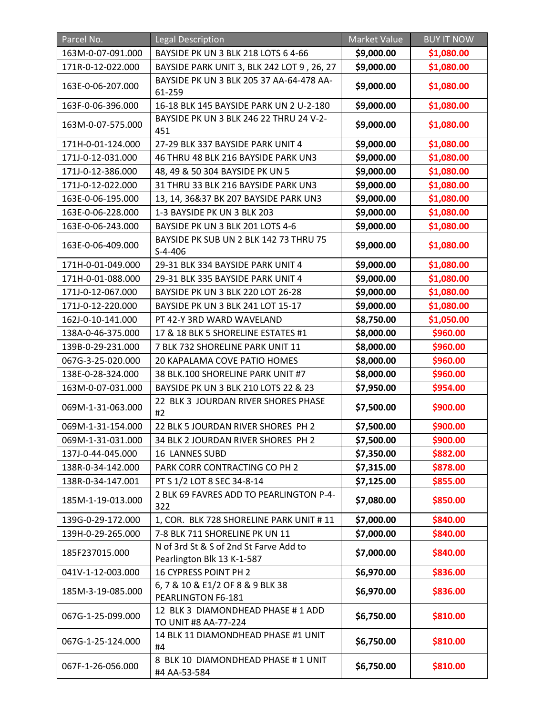| Parcel No.        | <b>Legal Description</b>                                             | <b>Market Value</b> | <b>BUY IT NOW</b> |
|-------------------|----------------------------------------------------------------------|---------------------|-------------------|
| 163M-0-07-091.000 | BAYSIDE PK UN 3 BLK 218 LOTS 6 4-66                                  | \$9,000.00          | \$1,080.00        |
| 171R-0-12-022.000 | BAYSIDE PARK UNIT 3, BLK 242 LOT 9, 26, 27                           | \$9,000.00          | \$1,080.00        |
| 163E-0-06-207.000 | BAYSIDE PK UN 3 BLK 205 37 AA-64-478 AA-<br>61-259                   | \$9,000.00          | \$1,080.00        |
| 163F-0-06-396.000 | 16-18 BLK 145 BAYSIDE PARK UN 2 U-2-180                              | \$9,000.00          | \$1,080.00        |
| 163M-0-07-575.000 | BAYSIDE PK UN 3 BLK 246 22 THRU 24 V-2-<br>451                       | \$9,000.00          | \$1,080.00        |
| 171H-0-01-124.000 | 27-29 BLK 337 BAYSIDE PARK UNIT 4                                    | \$9,000.00          | \$1,080.00        |
| 171J-0-12-031.000 | 46 THRU 48 BLK 216 BAYSIDE PARK UN3                                  | \$9,000.00          | \$1,080.00        |
| 171J-0-12-386.000 | 48, 49 & 50 304 BAYSIDE PK UN 5                                      | \$9,000.00          | \$1,080.00        |
| 171J-0-12-022.000 | 31 THRU 33 BLK 216 BAYSIDE PARK UN3                                  | \$9,000.00          | \$1,080.00        |
| 163E-0-06-195.000 | 13, 14, 36&37 BK 207 BAYSIDE PARK UN3                                | \$9,000.00          | \$1,080.00        |
| 163E-0-06-228.000 | 1-3 BAYSIDE PK UN 3 BLK 203                                          | \$9,000.00          | \$1,080.00        |
| 163E-0-06-243.000 | BAYSIDE PK UN 3 BLK 201 LOTS 4-6                                     | \$9,000.00          | \$1,080.00        |
| 163E-0-06-409.000 | BAYSIDE PK SUB UN 2 BLK 142 73 THRU 75<br>$S-4-406$                  | \$9,000.00          | \$1,080.00        |
| 171H-0-01-049.000 | 29-31 BLK 334 BAYSIDE PARK UNIT 4                                    | \$9,000.00          | \$1,080.00        |
| 171H-0-01-088.000 | 29-31 BLK 335 BAYSIDE PARK UNIT 4                                    | \$9,000.00          | \$1,080.00        |
| 171J-0-12-067.000 | BAYSIDE PK UN 3 BLK 220 LOT 26-28                                    | \$9,000.00          | \$1,080.00        |
| 171J-0-12-220.000 | BAYSIDE PK UN 3 BLK 241 LOT 15-17                                    | \$9,000.00          | \$1,080.00        |
| 162J-0-10-141.000 | PT 42-Y 3RD WARD WAVELAND                                            | \$8,750.00          | \$1,050.00        |
| 138A-0-46-375.000 | 17 & 18 BLK 5 SHORELINE ESTATES #1                                   | \$8,000.00          | \$960.00          |
| 139B-0-29-231.000 | 7 BLK 732 SHORELINE PARK UNIT 11                                     | \$8,000.00          | \$960.00          |
| 067G-3-25-020.000 | 20 KAPALAMA COVE PATIO HOMES                                         | \$8,000.00          | \$960.00          |
| 138E-0-28-324.000 | 38 BLK.100 SHORELINE PARK UNIT #7                                    | \$8,000.00          | \$960.00          |
| 163M-0-07-031.000 | BAYSIDE PK UN 3 BLK 210 LOTS 22 & 23                                 | \$7,950.00          | \$954.00          |
| 069M-1-31-063.000 | 22 BLK 3 JOURDAN RIVER SHORES PHASE<br>#2                            | \$7,500.00          | \$900.00          |
| 069M-1-31-154.000 | 22 BLK 5 JOURDAN RIVER SHORES PH 2                                   | \$7,500.00          | \$900.00          |
| 069M-1-31-031.000 | 34 BLK 2 JOURDAN RIVER SHORES PH 2                                   | \$7,500.00          | \$900.00          |
| 137J-0-44-045.000 | <b>16 LANNES SUBD</b>                                                | \$7,350.00          | \$882.00          |
| 138R-0-34-142.000 | PARK CORR CONTRACTING CO PH 2                                        | \$7,315.00          | \$878.00          |
| 138R-0-34-147.001 | PT S 1/2 LOT 8 SEC 34-8-14                                           | \$7,125.00          | \$855.00          |
| 185M-1-19-013.000 | 2 BLK 69 FAVRES ADD TO PEARLINGTON P-4-<br>322                       | \$7,080.00          | \$850.00          |
| 139G-0-29-172.000 | 1, COR. BLK 728 SHORELINE PARK UNIT # 11                             | \$7,000.00          | \$840.00          |
| 139H-0-29-265.000 | 7-8 BLK 711 SHORELINE PK UN 11                                       | \$7,000.00          | \$840.00          |
| 185F237015.000    | N of 3rd St & S of 2nd St Farve Add to<br>Pearlington Blk 13 K-1-587 | \$7,000.00          | \$840.00          |
| 041V-1-12-003.000 | 16 CYPRESS POINT PH 2                                                | \$6,970.00          | \$836.00          |
| 185M-3-19-085.000 | 6, 7 & 10 & E1/2 OF 8 & 9 BLK 38<br>PEARLINGTON F6-181               | \$6,970.00          | \$836.00          |
| 067G-1-25-099.000 | 12 BLK 3 DIAMONDHEAD PHASE # 1 ADD<br>TO UNIT #8 AA-77-224           | \$6,750.00          | \$810.00          |
| 067G-1-25-124.000 | 14 BLK 11 DIAMONDHEAD PHASE #1 UNIT<br>#4                            | \$6,750.00          | \$810.00          |
| 067F-1-26-056.000 | 8 BLK 10 DIAMONDHEAD PHASE #1 UNIT<br>#4 AA-53-584                   | \$6,750.00          | \$810.00          |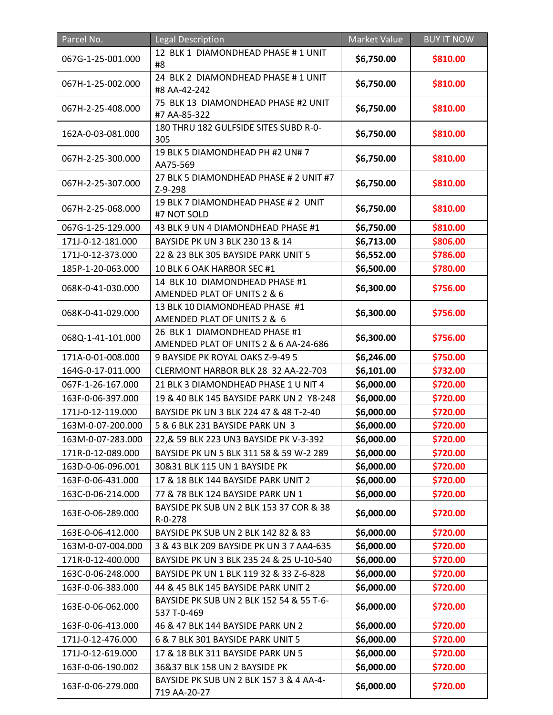| Parcel No.        | Legal Description                                                      | Market Value | <b>BUY IT NOW</b> |
|-------------------|------------------------------------------------------------------------|--------------|-------------------|
| 067G-1-25-001.000 | 12 BLK 1 DIAMONDHEAD PHASE # 1 UNIT<br>#8                              | \$6,750.00   | \$810.00          |
| 067H-1-25-002.000 | 24 BLK 2 DIAMONDHEAD PHASE # 1 UNIT<br>#8 AA-42-242                    | \$6,750.00   | \$810.00          |
| 067H-2-25-408.000 | 75 BLK 13 DIAMONDHEAD PHASE #2 UNIT<br>#7 AA-85-322                    | \$6,750.00   | \$810.00          |
| 162A-0-03-081.000 | 180 THRU 182 GULFSIDE SITES SUBD R-0-<br>305                           | \$6,750.00   | \$810.00          |
| 067H-2-25-300.000 | 19 BLK 5 DIAMONDHEAD PH #2 UN# 7<br>AA75-569                           | \$6,750.00   | \$810.00          |
| 067H-2-25-307.000 | 27 BLK 5 DIAMONDHEAD PHASE # 2 UNIT #7<br>Z-9-298                      | \$6,750.00   | \$810.00          |
| 067H-2-25-068.000 | 19 BLK 7 DIAMONDHEAD PHASE # 2 UNIT<br>#7 NOT SOLD                     | \$6,750.00   | \$810.00          |
| 067G-1-25-129.000 | 43 BLK 9 UN 4 DIAMONDHEAD PHASE #1                                     | \$6,750.00   | \$810.00          |
| 171J-0-12-181.000 | BAYSIDE PK UN 3 BLK 230 13 & 14                                        | \$6,713.00   | \$806.00          |
| 171J-0-12-373.000 | 22 & 23 BLK 305 BAYSIDE PARK UNIT 5                                    | \$6,552.00   | \$786.00          |
| 185P-1-20-063.000 | 10 BLK 6 OAK HARBOR SEC #1                                             | \$6,500.00   | \$780.00          |
| 068K-0-41-030.000 | 14 BLK 10 DIAMONDHEAD PHASE #1<br>AMENDED PLAT OF UNITS 2 & 6          | \$6,300.00   | \$756.00          |
| 068K-0-41-029.000 | 13 BLK 10 DIAMONDHEAD PHASE #1<br>AMENDED PLAT OF UNITS 2 & 6          | \$6,300.00   | \$756.00          |
| 068Q-1-41-101.000 | 26 BLK 1 DIAMONDHEAD PHASE #1<br>AMENDED PLAT OF UNITS 2 & 6 AA-24-686 | \$6,300.00   | \$756.00          |
| 171A-0-01-008.000 | 9 BAYSIDE PK ROYAL OAKS Z-9-49 5                                       | \$6,246.00   | \$750.00          |
| 164G-0-17-011.000 | CLERMONT HARBOR BLK 28 32 AA-22-703                                    | \$6,101.00   | \$732.00          |
| 067F-1-26-167.000 | 21 BLK 3 DIAMONDHEAD PHASE 1 U NIT 4                                   | \$6,000.00   | \$720.00          |
| 163F-0-06-397.000 | 19 & 40 BLK 145 BAYSIDE PARK UN 2 Y8-248                               | \$6,000.00   | \$720.00          |
| 171J-0-12-119.000 | BAYSIDE PK UN 3 BLK 224 47 & 48 T-2-40                                 | \$6,000.00   | \$720.00          |
| 163M-0-07-200.000 | 5 & 6 BLK 231 BAYSIDE PARK UN 3                                        | \$6,000.00   | \$720.00          |
| 163M-0-07-283.000 | 22, & 59 BLK 223 UN3 BAYSIDE PK V-3-392                                | \$6,000.00   | \$720.00          |
| 171R-0-12-089.000 | BAYSIDE PK UN 5 BLK 311 58 & 59 W-2 289                                | \$6,000.00   | \$720.00          |
| 163D-0-06-096.001 | 30&31 BLK 115 UN 1 BAYSIDE PK                                          | \$6,000.00   | \$720.00          |
| 163F-0-06-431.000 | 17 & 18 BLK 144 BAYSIDE PARK UNIT 2                                    | \$6,000.00   | \$720.00          |
| 163C-0-06-214.000 | 77 & 78 BLK 124 BAYSIDE PARK UN 1                                      | \$6,000.00   | \$720.00          |
| 163E-0-06-289.000 | BAYSIDE PK SUB UN 2 BLK 153 37 COR & 38<br>R-0-278                     | \$6,000.00   | \$720.00          |
| 163E-0-06-412.000 | BAYSIDE PK SUB UN 2 BLK 142 82 & 83                                    | \$6,000.00   | \$720.00          |
| 163M-0-07-004.000 | 3 & 43 BLK 209 BAYSIDE PK UN 3 7 AA4-635                               | \$6,000.00   | \$720.00          |
| 171R-0-12-400.000 | BAYSIDE PK UN 3 BLK 235 24 & 25 U-10-540                               | \$6,000.00   | \$720.00          |
| 163C-0-06-248.000 | BAYSIDE PK UN 1 BLK 119 32 & 33 Z-6-828                                | \$6,000.00   | \$720.00          |
| 163F-0-06-383.000 | 44 & 45 BLK 145 BAYSIDE PARK UNIT 2                                    | \$6,000.00   | \$720.00          |
| 163E-0-06-062.000 | BAYSIDE PK SUB UN 2 BLK 152 54 & 55 T-6-<br>537 T-0-469                | \$6,000.00   | \$720.00          |
| 163F-0-06-413.000 | 46 & 47 BLK 144 BAYSIDE PARK UN 2                                      | \$6,000.00   | \$720.00          |
| 171J-0-12-476.000 | 6 & 7 BLK 301 BAYSIDE PARK UNIT 5                                      | \$6,000.00   | \$720.00          |
| 171J-0-12-619.000 | 17 & 18 BLK 311 BAYSIDE PARK UN 5                                      | \$6,000.00   | \$720.00          |
| 163F-0-06-190.002 | 36&37 BLK 158 UN 2 BAYSIDE PK                                          | \$6,000.00   | \$720.00          |
| 163F-0-06-279.000 | BAYSIDE PK SUB UN 2 BLK 157 3 & 4 AA-4-<br>719 AA-20-27                | \$6,000.00   | \$720.00          |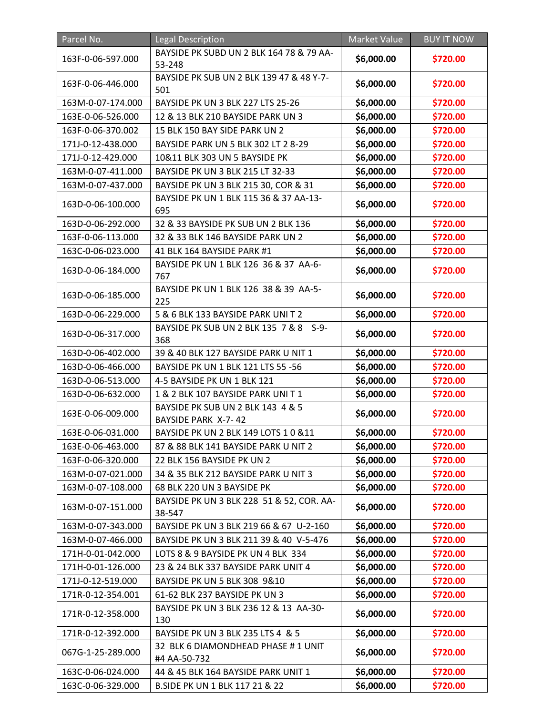| Parcel No.        | <b>Legal Description</b>                                 | Market Value | <b>BUY IT NOW</b> |
|-------------------|----------------------------------------------------------|--------------|-------------------|
| 163F-0-06-597.000 | BAYSIDE PK SUBD UN 2 BLK 164 78 & 79 AA-<br>53-248       | \$6,000.00   | \$720.00          |
| 163F-0-06-446.000 | BAYSIDE PK SUB UN 2 BLK 139 47 & 48 Y-7-<br>501          | \$6,000.00   | \$720.00          |
| 163M-0-07-174.000 | BAYSIDE PK UN 3 BLK 227 LTS 25-26                        | \$6,000.00   | \$720.00          |
| 163E-0-06-526.000 | 12 & 13 BLK 210 BAYSIDE PARK UN 3                        | \$6,000.00   | \$720.00          |
| 163F-0-06-370.002 | 15 BLK 150 BAY SIDE PARK UN 2                            | \$6,000.00   | \$720.00          |
| 171J-0-12-438.000 | BAYSIDE PARK UN 5 BLK 302 LT 2 8-29                      | \$6,000.00   | \$720.00          |
| 171J-0-12-429.000 | 10&11 BLK 303 UN 5 BAYSIDE PK                            | \$6,000.00   | \$720.00          |
| 163M-0-07-411.000 | BAYSIDE PK UN 3 BLK 215 LT 32-33                         | \$6,000.00   | \$720.00          |
| 163M-0-07-437.000 | BAYSIDE PK UN 3 BLK 215 30, COR & 31                     | \$6,000.00   | \$720.00          |
| 163D-0-06-100.000 | BAYSIDE PK UN 1 BLK 115 36 & 37 AA-13-<br>695            | \$6,000.00   | \$720.00          |
| 163D-0-06-292.000 | 32 & 33 BAYSIDE PK SUB UN 2 BLK 136                      | \$6,000.00   | \$720.00          |
| 163F-0-06-113.000 | 32 & 33 BLK 146 BAYSIDE PARK UN 2                        | \$6,000.00   | \$720.00          |
| 163C-0-06-023.000 | 41 BLK 164 BAYSIDE PARK #1                               | \$6,000.00   | \$720.00          |
| 163D-0-06-184.000 | BAYSIDE PK UN 1 BLK 126 36 & 37 AA-6-<br>767             | \$6,000.00   | \$720.00          |
| 163D-0-06-185.000 | BAYSIDE PK UN 1 BLK 126 38 & 39 AA-5-<br>225             | \$6,000.00   | \$720.00          |
| 163D-0-06-229.000 | 5 & 6 BLK 133 BAYSIDE PARK UNIT 2                        | \$6,000.00   | \$720.00          |
| 163D-0-06-317.000 | BAYSIDE PK SUB UN 2 BLK 135 7 & 8 S-9-<br>368            | \$6,000.00   | \$720.00          |
| 163D-0-06-402.000 | 39 & 40 BLK 127 BAYSIDE PARK U NIT 1                     | \$6,000.00   | \$720.00          |
| 163D-0-06-466.000 | BAYSIDE PK UN 1 BLK 121 LTS 55 -56                       | \$6,000.00   | \$720.00          |
| 163D-0-06-513.000 | 4-5 BAYSIDE PK UN 1 BLK 121                              | \$6,000.00   | \$720.00          |
| 163D-0-06-632.000 | 1 & 2 BLK 107 BAYSIDE PARK UNIT1                         | \$6,000.00   | \$720.00          |
| 163E-0-06-009.000 | BAYSIDE PK SUB UN 2 BLK 143 4 & 5<br>BAYSIDE PARK X-7-42 | \$6,000.00   | \$720.00          |
| 163E-0-06-031.000 | BAYSIDE PK UN 2 BLK 149 LOTS 1 0 & 11                    | \$6,000.00   | \$720.00          |
| 163E-0-06-463.000 | 87 & 88 BLK 141 BAYSIDE PARK U NIT 2                     | \$6,000.00   | \$720.00          |
| 163F-0-06-320.000 | 22 BLK 156 BAYSIDE PK UN 2                               | \$6,000.00   | \$720.00          |
| 163M-0-07-021.000 | 34 & 35 BLK 212 BAYSIDE PARK U NIT 3                     | \$6,000.00   | \$720.00          |
| 163M-0-07-108.000 | 68 BLK 220 UN 3 BAYSIDE PK                               | \$6,000.00   | \$720.00          |
| 163M-0-07-151.000 | BAYSIDE PK UN 3 BLK 228 51 & 52, COR. AA-<br>38-547      | \$6,000.00   | \$720.00          |
| 163M-0-07-343.000 | BAYSIDE PK UN 3 BLK 219 66 & 67 U-2-160                  | \$6,000.00   | \$720.00          |
| 163M-0-07-466.000 | BAYSIDE PK UN 3 BLK 211 39 & 40 V-5-476                  | \$6,000.00   | \$720.00          |
| 171H-0-01-042.000 | LOTS 8 & 9 BAYSIDE PK UN 4 BLK 334                       | \$6,000.00   | \$720.00          |
| 171H-0-01-126.000 | 23 & 24 BLK 337 BAYSIDE PARK UNIT 4                      | \$6,000.00   | \$720.00          |
| 171J-0-12-519.000 | BAYSIDE PK UN 5 BLK 308 9&10                             | \$6,000.00   | \$720.00          |
| 171R-0-12-354.001 | 61-62 BLK 237 BAYSIDE PK UN 3                            | \$6,000.00   | \$720.00          |
| 171R-0-12-358.000 | BAYSIDE PK UN 3 BLK 236 12 & 13 AA-30-<br>130            | \$6,000.00   | \$720.00          |
| 171R-0-12-392.000 | BAYSIDE PK UN 3 BLK 235 LTS 4 & 5                        | \$6,000.00   | \$720.00          |
| 067G-1-25-289.000 | 32 BLK 6 DIAMONDHEAD PHASE #1 UNIT<br>#4 AA-50-732       | \$6,000.00   | \$720.00          |
| 163C-0-06-024.000 | 44 & 45 BLK 164 BAYSIDE PARK UNIT 1                      | \$6,000.00   | \$720.00          |
| 163C-0-06-329.000 | B.SIDE PK UN 1 BLK 117 21 & 22                           | \$6,000.00   | \$720.00          |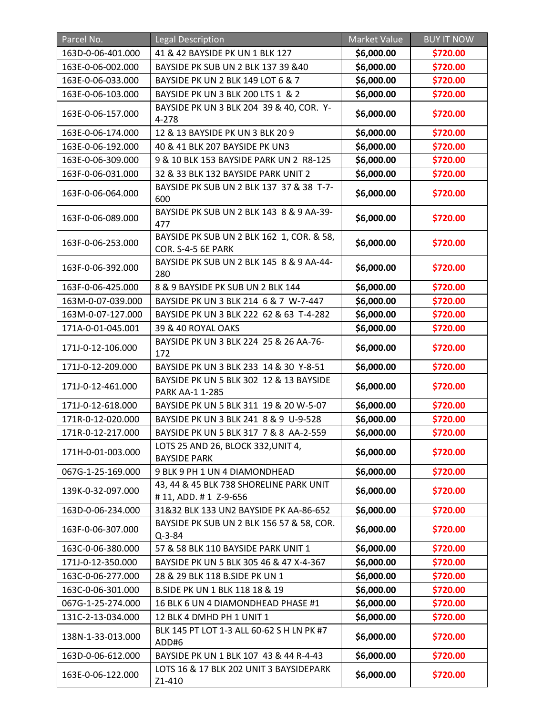| Parcel No.        | <b>Legal Description</b>                                        | <b>Market Value</b> | <b>BUY IT NOW</b> |
|-------------------|-----------------------------------------------------------------|---------------------|-------------------|
| 163D-0-06-401.000 | 41 & 42 BAYSIDE PK UN 1 BLK 127                                 | \$6,000.00          | \$720.00          |
| 163E-0-06-002.000 | BAYSIDE PK SUB UN 2 BLK 137 39 &40                              | \$6,000.00          | \$720.00          |
| 163E-0-06-033.000 | BAYSIDE PK UN 2 BLK 149 LOT 6 & 7                               | \$6,000.00          | \$720.00          |
| 163E-0-06-103.000 | BAYSIDE PK UN 3 BLK 200 LTS 1 & 2                               | \$6,000.00          | \$720.00          |
| 163E-0-06-157.000 | BAYSIDE PK UN 3 BLK 204 39 & 40, COR. Y-<br>4-278               | \$6,000.00          | \$720.00          |
| 163E-0-06-174.000 | 12 & 13 BAYSIDE PK UN 3 BLK 20 9                                | \$6,000.00          | \$720.00          |
| 163E-0-06-192.000 | 40 & 41 BLK 207 BAYSIDE PK UN3                                  | \$6,000.00          | \$720.00          |
| 163E-0-06-309.000 | 9 & 10 BLK 153 BAYSIDE PARK UN 2 R8-125                         | \$6,000.00          | \$720.00          |
| 163F-0-06-031.000 | 32 & 33 BLK 132 BAYSIDE PARK UNIT 2                             | \$6,000.00          | \$720.00          |
| 163F-0-06-064.000 | BAYSIDE PK SUB UN 2 BLK 137 37 & 38 T-7-<br>600                 | \$6,000.00          | \$720.00          |
| 163F-0-06-089.000 | BAYSIDE PK SUB UN 2 BLK 143 8 & 9 AA-39-<br>477                 | \$6,000.00          | \$720.00          |
| 163F-0-06-253.000 | BAYSIDE PK SUB UN 2 BLK 162 1, COR. & 58,<br>COR. S-4-5 6E PARK | \$6,000.00          | \$720.00          |
| 163F-0-06-392.000 | BAYSIDE PK SUB UN 2 BLK 145 8 & 9 AA-44-<br>280                 | \$6,000.00          | \$720.00          |
| 163F-0-06-425.000 | 8 & 9 BAYSIDE PK SUB UN 2 BLK 144                               | \$6,000.00          | \$720.00          |
| 163M-0-07-039.000 | BAYSIDE PK UN 3 BLK 214 6 & 7 W-7-447                           | \$6,000.00          | \$720.00          |
| 163M-0-07-127.000 | BAYSIDE PK UN 3 BLK 222 62 & 63 T-4-282                         | \$6,000.00          | \$720.00          |
| 171A-0-01-045.001 | 39 & 40 ROYAL OAKS                                              | \$6,000.00          | \$720.00          |
| 171J-0-12-106.000 | BAYSIDE PK UN 3 BLK 224 25 & 26 AA-76-<br>172                   | \$6,000.00          | \$720.00          |
| 171J-0-12-209.000 | BAYSIDE PK UN 3 BLK 233 14 & 30 Y-8-51                          | \$6,000.00          | \$720.00          |
| 171J-0-12-461.000 | BAYSIDE PK UN 5 BLK 302 12 & 13 BAYSIDE<br>PARK AA-1 1-285      | \$6,000.00          | \$720.00          |
| 171J-0-12-618.000 | BAYSIDE PK UN 5 BLK 311 19 & 20 W-5-07                          | \$6,000.00          | \$720.00          |
| 171R-0-12-020.000 | BAYSIDE PK UN 3 BLK 241 8 & 9 U-9-528                           | \$6,000.00          | \$720.00          |
| 171R-0-12-217.000 | BAYSIDE PK UN 5 BLK 317 7 & 8 AA-2-559                          | \$6,000.00          | \$720.00          |
| 171H-0-01-003.000 | LOTS 25 AND 26, BLOCK 332, UNIT 4,<br><b>BAYSIDE PARK</b>       | \$6,000.00          | \$720.00          |
| 067G-1-25-169.000 | 9 BLK 9 PH 1 UN 4 DIAMONDHEAD                                   | \$6,000.00          | \$720.00          |
| 139K-0-32-097.000 | 43, 44 & 45 BLK 738 SHORELINE PARK UNIT<br>#11, ADD. #1 Z-9-656 | \$6,000.00          | \$720.00          |
| 163D-0-06-234.000 | 31&32 BLK 133 UN2 BAYSIDE PK AA-86-652                          | \$6,000.00          | \$720.00          |
| 163F-0-06-307.000 | BAYSIDE PK SUB UN 2 BLK 156 57 & 58, COR.<br>$Q - 3 - 84$       | \$6,000.00          | \$720.00          |
| 163C-0-06-380.000 | 57 & 58 BLK 110 BAYSIDE PARK UNIT 1                             | \$6,000.00          | \$720.00          |
| 171J-0-12-350.000 | BAYSIDE PK UN 5 BLK 305 46 & 47 X-4-367                         | \$6,000.00          | \$720.00          |
| 163C-0-06-277.000 | 28 & 29 BLK 118 B.SIDE PK UN 1                                  | \$6,000.00          | \$720.00          |
| 163C-0-06-301.000 | B.SIDE PK UN 1 BLK 118 18 & 19                                  | \$6,000.00          | \$720.00          |
| 067G-1-25-274.000 | 16 BLK 6 UN 4 DIAMONDHEAD PHASE #1                              | \$6,000.00          | \$720.00          |
| 131C-2-13-034.000 | 12 BLK 4 DMHD PH 1 UNIT 1                                       | \$6,000.00          | \$720.00          |
| 138N-1-33-013.000 | BLK 145 PT LOT 1-3 ALL 60-62 S H LN PK #7<br>ADD#6              | \$6,000.00          | \$720.00          |
| 163D-0-06-612.000 | BAYSIDE PK UN 1 BLK 107 43 & 44 R-4-43                          | \$6,000.00          | \$720.00          |
| 163E-0-06-122.000 | LOTS 16 & 17 BLK 202 UNIT 3 BAYSIDEPARK<br>Z1-410               | \$6,000.00          | \$720.00          |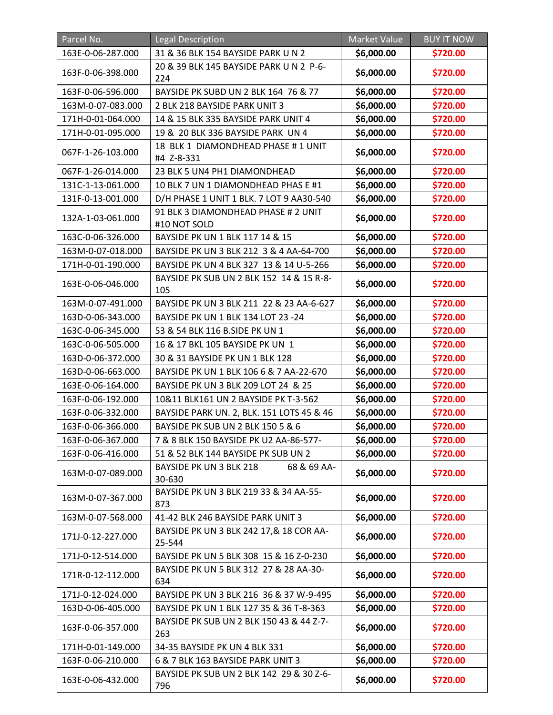| Parcel No.        | <b>Legal Description</b>                            | Market Value | <b>BUY IT NOW</b> |
|-------------------|-----------------------------------------------------|--------------|-------------------|
| 163E-0-06-287.000 | 31 & 36 BLK 154 BAYSIDE PARK U N 2                  | \$6,000.00   | \$720.00          |
| 163F-0-06-398.000 | 20 & 39 BLK 145 BAYSIDE PARK U N 2 P-6-<br>224      | \$6,000.00   | \$720.00          |
| 163F-0-06-596.000 | BAYSIDE PK SUBD UN 2 BLK 164 76 & 77                | \$6,000.00   | \$720.00          |
| 163M-0-07-083.000 | 2 BLK 218 BAYSIDE PARK UNIT 3                       | \$6,000.00   | \$720.00          |
| 171H-0-01-064.000 | 14 & 15 BLK 335 BAYSIDE PARK UNIT 4                 | \$6,000.00   | \$720.00          |
| 171H-0-01-095.000 | 19 & 20 BLK 336 BAYSIDE PARK UN 4                   | \$6,000.00   | \$720.00          |
| 067F-1-26-103.000 | 18 BLK 1 DIAMONDHEAD PHASE # 1 UNIT<br>#4 Z-8-331   | \$6,000.00   | \$720.00          |
| 067F-1-26-014.000 | 23 BLK 5 UN4 PH1 DIAMONDHEAD                        | \$6,000.00   | \$720.00          |
| 131C-1-13-061.000 | 10 BLK 7 UN 1 DIAMONDHEAD PHAS E #1                 | \$6,000.00   | \$720.00          |
| 131F-0-13-001.000 | D/H PHASE 1 UNIT 1 BLK. 7 LOT 9 AA30-540            | \$6,000.00   | \$720.00          |
| 132A-1-03-061.000 | 91 BLK 3 DIAMONDHEAD PHASE # 2 UNIT<br>#10 NOT SOLD | \$6,000.00   | \$720.00          |
| 163C-0-06-326.000 | BAYSIDE PK UN 1 BLK 117 14 & 15                     | \$6,000.00   | \$720.00          |
| 163M-0-07-018.000 | BAYSIDE PK UN 3 BLK 212 3 & 4 AA-64-700             | \$6,000.00   | \$720.00          |
| 171H-0-01-190.000 | BAYSIDE PK UN 4 BLK 327 13 & 14 U-5-266             | \$6,000.00   | \$720.00          |
| 163E-0-06-046.000 | BAYSIDE PK SUB UN 2 BLK 152 14 & 15 R-8-<br>105     | \$6,000.00   | \$720.00          |
| 163M-0-07-491.000 | BAYSIDE PK UN 3 BLK 211 22 & 23 AA-6-627            | \$6,000.00   | \$720.00          |
| 163D-0-06-343.000 | BAYSIDE PK UN 1 BLK 134 LOT 23 -24                  | \$6,000.00   | \$720.00          |
| 163C-0-06-345.000 | 53 & 54 BLK 116 B.SIDE PK UN 1                      | \$6,000.00   | \$720.00          |
| 163C-0-06-505.000 | 16 & 17 BKL 105 BAYSIDE PK UN 1                     | \$6,000.00   | \$720.00          |
| 163D-0-06-372.000 | 30 & 31 BAYSIDE PK UN 1 BLK 128                     | \$6,000.00   | \$720.00          |
| 163D-0-06-663.000 | BAYSIDE PK UN 1 BLK 106 6 & 7 AA-22-670             | \$6,000.00   | \$720.00          |
| 163E-0-06-164.000 | BAYSIDE PK UN 3 BLK 209 LOT 24 & 25                 | \$6,000.00   | \$720.00          |
| 163F-0-06-192.000 | 10&11 BLK161 UN 2 BAYSIDE PK T-3-562                | \$6,000.00   | \$720.00          |
| 163F-0-06-332.000 | BAYSIDE PARK UN. 2, BLK. 151 LOTS 45 & 46           | \$6,000.00   | \$720.00          |
| 163F-0-06-366.000 | <b>BAYSIDE PK SUB UN 2 BLK 150 5 &amp; 6</b>        | \$6,000.00   | \$720.00          |
| 163F-0-06-367.000 | 7 & 8 BLK 150 BAYSIDE PK U2 AA-86-577-              | \$6,000.00   | \$720.00          |
| 163F-0-06-416.000 | 51 & 52 BLK 144 BAYSIDE PK SUB UN 2                 | \$6,000.00   | \$720.00          |
| 163M-0-07-089.000 | 68 & 69 AA-<br>BAYSIDE PK UN 3 BLK 218<br>30-630    | \$6,000.00   | \$720.00          |
| 163M-0-07-367.000 | BAYSIDE PK UN 3 BLK 219 33 & 34 AA-55-<br>873       | \$6,000.00   | \$720.00          |
| 163M-0-07-568.000 | 41-42 BLK 246 BAYSIDE PARK UNIT 3                   | \$6,000.00   | \$720.00          |
| 171J-0-12-227.000 | BAYSIDE PK UN 3 BLK 242 17,& 18 COR AA-<br>25-544   | \$6,000.00   | \$720.00          |
| 171J-0-12-514.000 | BAYSIDE PK UN 5 BLK 308 15 & 16 Z-0-230             | \$6,000.00   | \$720.00          |
| 171R-0-12-112.000 | BAYSIDE PK UN 5 BLK 312 27 & 28 AA-30-<br>634       | \$6,000.00   | \$720.00          |
| 171J-0-12-024.000 | BAYSIDE PK UN 3 BLK 216 36 & 37 W-9-495             | \$6,000.00   | \$720.00          |
| 163D-0-06-405.000 | BAYSIDE PK UN 1 BLK 127 35 & 36 T-8-363             | \$6,000.00   | \$720.00          |
| 163F-0-06-357.000 | BAYSIDE PK SUB UN 2 BLK 150 43 & 44 Z-7-<br>263     | \$6,000.00   | \$720.00          |
| 171H-0-01-149.000 | 34-35 BAYSIDE PK UN 4 BLK 331                       | \$6,000.00   | \$720.00          |
| 163F-0-06-210.000 | 6 & 7 BLK 163 BAYSIDE PARK UNIT 3                   | \$6,000.00   | \$720.00          |
| 163E-0-06-432.000 | BAYSIDE PK SUB UN 2 BLK 142 29 & 30 Z-6-<br>796     | \$6,000.00   | \$720.00          |